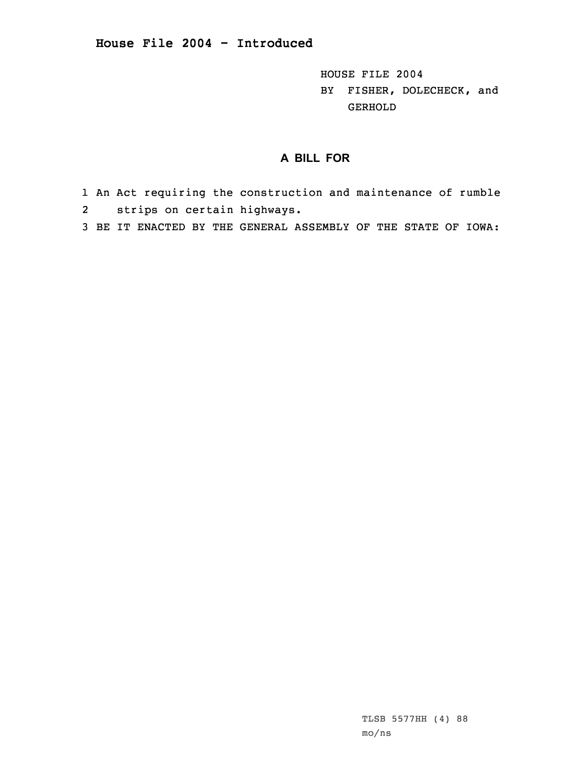HOUSE FILE 2004 BY FISHER, DOLECHECK, and GERHOLD

## **A BILL FOR**

- 1 An Act requiring the construction and maintenance of rumble 2strips on certain highways.
- 3 BE IT ENACTED BY THE GENERAL ASSEMBLY OF THE STATE OF IOWA: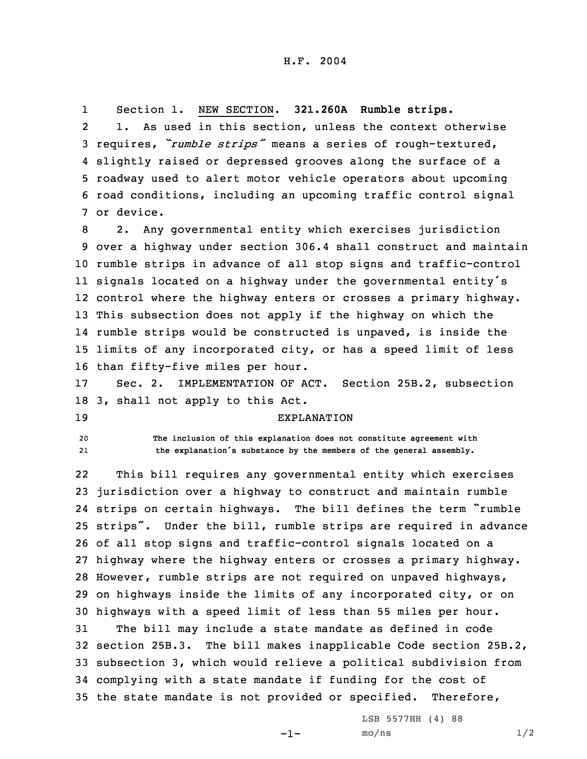1Section 1. NEW SECTION. **321.260A Rumble strips.**

2 1. As used in this section, unless the context otherwise requires, *"rumble strips"* means <sup>a</sup> series of rough-textured, slightly raised or depressed grooves along the surface of <sup>a</sup> roadway used to alert motor vehicle operators about upcoming road conditions, including an upcoming traffic control signal or device.

 2. Any governmental entity which exercises jurisdiction over <sup>a</sup> highway under section 306.4 shall construct and maintain rumble strips in advance of all stop signs and traffic-control signals located on <sup>a</sup> highway under the governmental entity's control where the highway enters or crosses <sup>a</sup> primary highway. This subsection does not apply if the highway on which the rumble strips would be constructed is unpaved, is inside the limits of any incorporated city, or has <sup>a</sup> speed limit of less than fifty-five miles per hour.

17 Sec. 2. IMPLEMENTATION OF ACT. Section 25B.2, subsection 18 3, shall not apply to this Act.

19 EXPLANATION

20 **The inclusion of this explanation does not constitute agreement with** 21**the explanation's substance by the members of the general assembly.**

22 This bill requires any governmental entity which exercises jurisdiction over <sup>a</sup> highway to construct and maintain rumble strips on certain highways. The bill defines the term "rumble strips". Under the bill, rumble strips are required in advance of all stop signs and traffic-control signals located on <sup>a</sup> highway where the highway enters or crosses <sup>a</sup> primary highway. However, rumble strips are not required on unpaved highways, on highways inside the limits of any incorporated city, or on highways with <sup>a</sup> speed limit of less than 55 miles per hour. The bill may include <sup>a</sup> state mandate as defined in code section 25B.3. The bill makes inapplicable Code section 25B.2, subsection 3, which would relieve <sup>a</sup> political subdivision from complying with <sup>a</sup> state mandate if funding for the cost of the state mandate is not provided or specified. Therefore,

-1-

LSB 5577HH (4) 88  $mo/ns$  1/2